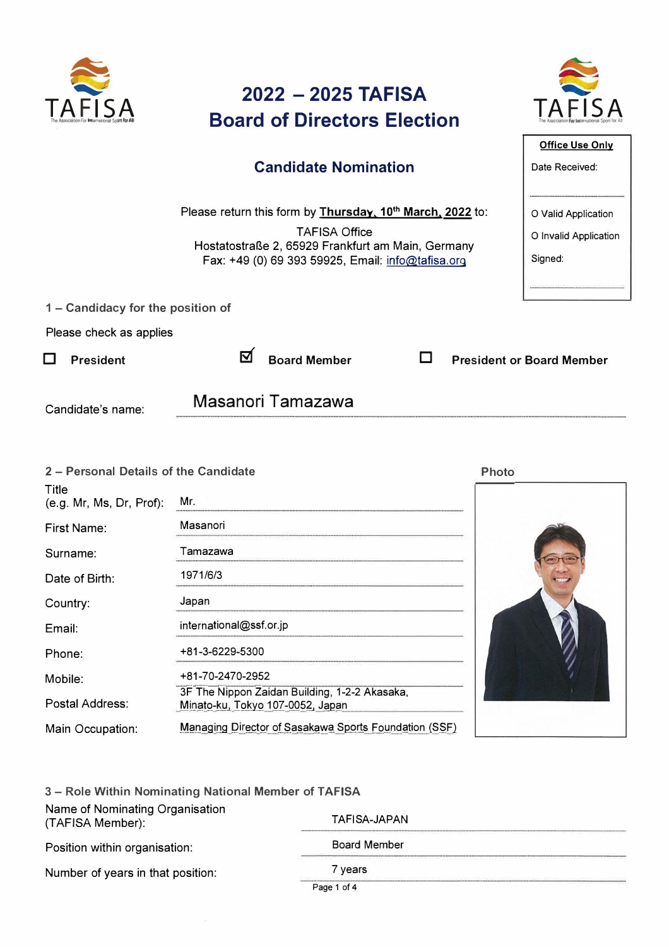

# **2022 - 2025 TAFISA Board of Directors Election**



**Office Use Only** 

Date Received:

0 Valid Application 0 Invalid Application

Signed:

### Candidate Nomination

Please return this form by Thursday, 10<sup>th</sup> March, 2022 to:

**TAFISA Office** Hostatostraße 2, 65929 Frankfurt am Main, Germany Fax: +49 (0) 69 393 59925, Email: info@tafisa.org

1 - Candidacy for the position of

Please check as applies

□ President 図 Board Member 口 President or Board Member

Candidate's name: Masanori Tamazawa

| 2 - Personal Details of the Candidate |                                                                                   | <b>Photo</b> |
|---------------------------------------|-----------------------------------------------------------------------------------|--------------|
| Title<br>(e.g. Mr, Ms, Dr, Prof):     | Mr.                                                                               |              |
| First Name:                           | Masanori                                                                          |              |
| Surname:                              | Tamazawa                                                                          |              |
| Date of Birth:                        | 1971/6/3                                                                          |              |
| Country:                              | Japan                                                                             |              |
| Email:                                | international@ssf.or.jp                                                           |              |
| Phone:                                | +81-3-6229-5300                                                                   |              |
| Mobile:                               | +81-70-2470-2952                                                                  |              |
| Postal Address:                       | 3F The Nippon Zaidan Building, 1-2-2 Akasaka,<br>Minato-ku, Tokyo 107-0052, Japan |              |
| Main Occupation:                      | Managing Director of Sasakawa Sports Foundation (SSF)                             |              |

| 3 - Role Within Nominating National Member of TAFISA |                     |  |
|------------------------------------------------------|---------------------|--|
| Name of Nominating Organisation<br>(TAFISA Member):  | TAFISA-JAPAN        |  |
| Position within organisation:                        | <b>Board Member</b> |  |
| Number of years in that position:                    | 7 years             |  |
|                                                      | Page 1 of 4         |  |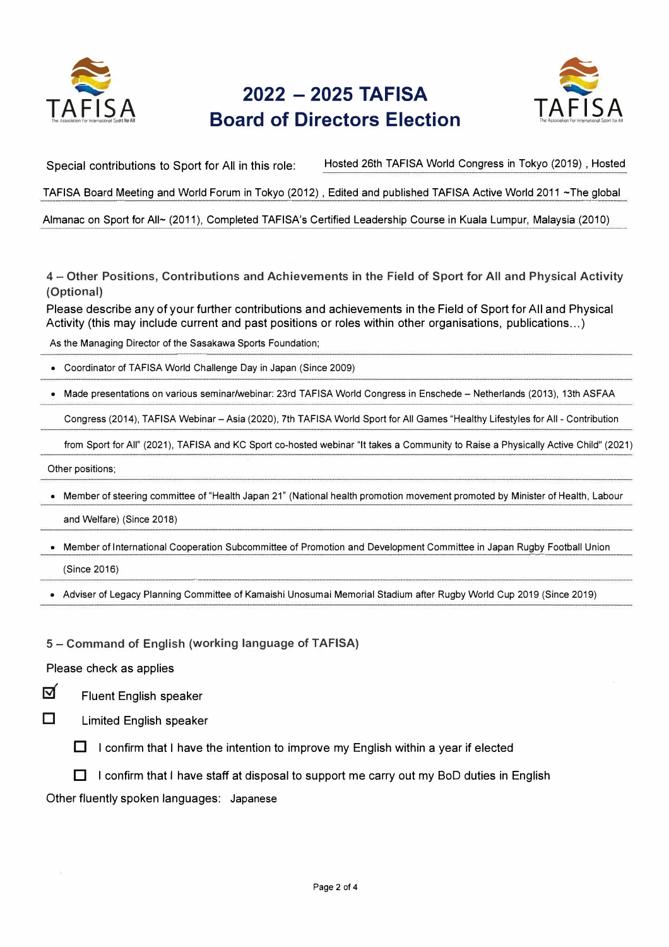



Special contributions to Sport for All in this role: Hosted 26th TAFISA World Congress in Tokyo (2019), Hosted

TAFISA Board Meeting and World Forum in Tokyo (2012), Edited and published TAFISA Active World 2011 ~The global

Almanac on Sport for All~ (2011), Completed TAFISA's Certified Leadership Course in Kuala Lumpur, Malaysia (2010)

4 - Other Positions, Contributions and Achievements in the Field of Sport for All and Physical Activity (Optional)

Please describe any of your further contributions and achievements in the Field of Sport for All and Physical Activity (this may include current and past positions or roles within other organisations, publications… )

As the Managing Director of the Sasakawa Sports Foundation; ·--·--·-·····-·-·

• Coordinator of TAFISA World Challenge Day in Japan (Since 2009)

• Made presentations on various seminar/webinar: 23rd TAFISA World Congress in Enschede - Netherlands (2013), 13th ASFAA

Congress (2014), TAFISA Webinar - Asia (2020), 7th TAFISA World Sport for All Games "Healthy Lifestyles for All - Contribution

from Sport for All" (2021), TAFISA and KC Sport co-hosted webinar "It takes a Community to Raise a Physically Active Child" (2021)

Other positions;

• Member of steering committee of "Health Japan 21" (National health promotion movement promoted by Minister of Health, Labour and Welfare) (Since 2018)

• Member of International Cooperation Subcommittee of Promotion and Development Committee in Japan Rugby Football Union (Since 2016)

• Adviser of Legacy Planning Committee of Kamaishi Unosumai Memorial Stadium after Rugby World Cup 2019 (Since 2019)

5 - Command of English (working language of TAFISA)

•—·

Please check as applies



Fluent English speaker

ロ

Limited English speaker

 $\Box$  I confirm that I have the intention to improve my English within a year if elected

 $\Box$  I confirm that I have staff at disposal to support me carry out my BoD duties in English

Other fluently spoken languages: Japanese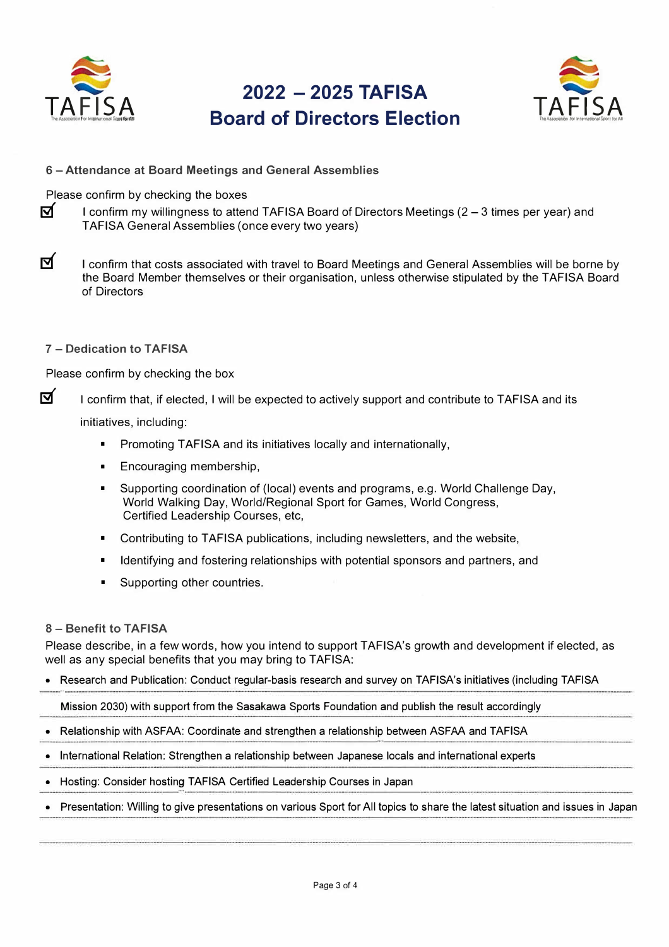

ज

# 2022 - 2025 TAFISA **Board of Directors Election**



6 - Attendance at Board Meetings and General Assemblies

Please confirm by checking the boxes

I confirm my willingness to attend TAFISA Board of Directors Meetings (2 – 3 times per year) and TAFISA General Assemblies (once every two years)

ৰ I confirm that costs associated with travel to Board Meetings and General Assemblies will be borne by the Board Member themselves or their organisation, unless otherwise stipulated by the TAFISA Board of Directors

7 - Dedication to TAFISA

Please confirm by checking the box

ज I confirm that, if elected, I will be expected to actively support and contribute to TAFISA and its

initiatives, including:

- Promoting TAFISA and its initiatives locally and internationally,  $\blacksquare$
- $\blacksquare$ Encouraging membership,
- $\mathbf{r}$ Supporting coordination of (local) events and programs, e.g. World Challenge Day, World Walking Day, World/Regional Sport for Games, World Congress, Certified Leadership Courses, etc,
- $\blacksquare$ Contributing to TAFISA publications, including newsletters, and the website,
- Identifying and fostering relationships with potential sponsors and partners, and  $\blacksquare$
- Supporting other countries.  $\blacksquare$

#### 8 - Benefit to TAFISA

Please describe, in a few words, how you intend to support TAFISA's growth and development if elected, as well as any special benefits that you may bring to TAFISA:

Research and Publication: Conduct regular-basis research and survey on TAFISA's initiatives (including TAFISA

Mission 2030) with support from the Sasakawa Sports Foundation and publish the result accordingly

- Relationship with ASFAA: Coordinate and strengthen a relationship between ASFAA and TAFISA
- International Relation: Strengthen a relationship between Japanese locals and international experts
- Hosting: Consider hosting TAFISA Certified Leadership Courses in Japan
- Presentation: Willing to give presentations on various Sport for All topics to share the latest situation and issues in Japan